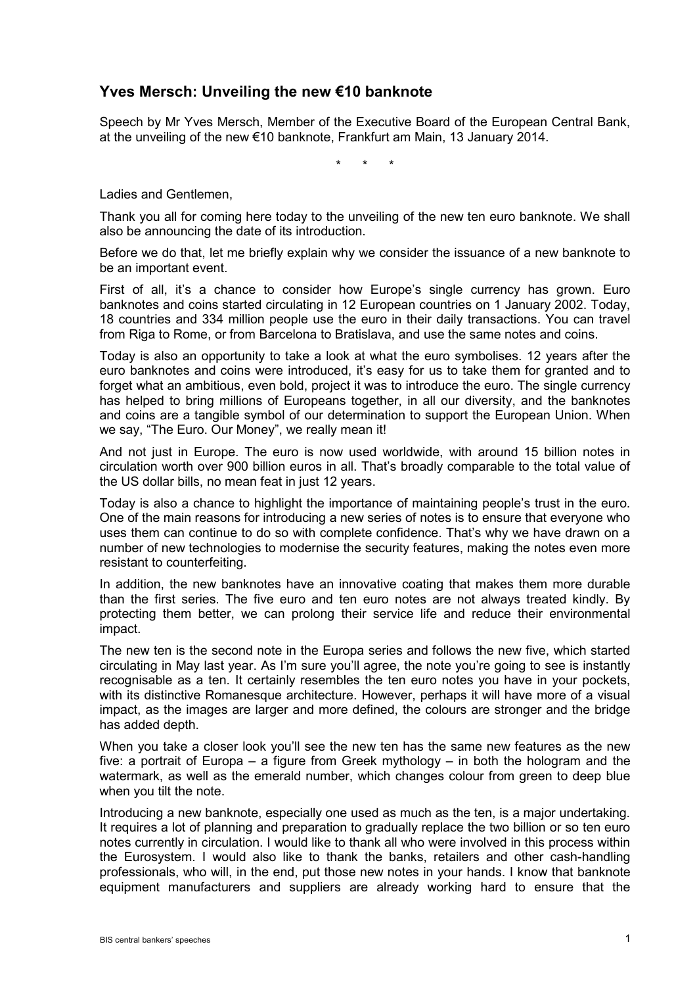## **Yves Mersch: Unveiling the new €10 banknote**

Speech by Mr Yves Mersch, Member of the Executive Board of the European Central Bank, at the unveiling of the new €10 banknote, Frankfurt am Main, 13 January 2014.

\* \* \*

Ladies and Gentlemen,

Thank you all for coming here today to the unveiling of the new ten euro banknote. We shall also be announcing the date of its introduction.

Before we do that, let me briefly explain why we consider the issuance of a new banknote to be an important event.

First of all, it's a chance to consider how Europe's single currency has grown. Euro banknotes and coins started circulating in 12 European countries on 1 January 2002. Today, 18 countries and 334 million people use the euro in their daily transactions. You can travel from Riga to Rome, or from Barcelona to Bratislava, and use the same notes and coins.

Today is also an opportunity to take a look at what the euro symbolises. 12 years after the euro banknotes and coins were introduced, it's easy for us to take them for granted and to forget what an ambitious, even bold, project it was to introduce the euro. The single currency has helped to bring millions of Europeans together, in all our diversity, and the banknotes and coins are a tangible symbol of our determination to support the European Union. When we say, "The Euro. Our Money", we really mean it!

And not just in Europe. The euro is now used worldwide, with around 15 billion notes in circulation worth over 900 billion euros in all. That's broadly comparable to the total value of the US dollar bills, no mean feat in just 12 years.

Today is also a chance to highlight the importance of maintaining people's trust in the euro. One of the main reasons for introducing a new series of notes is to ensure that everyone who uses them can continue to do so with complete confidence. That's why we have drawn on a number of new technologies to modernise the security features, making the notes even more resistant to counterfeiting.

In addition, the new banknotes have an innovative coating that makes them more durable than the first series. The five euro and ten euro notes are not always treated kindly. By protecting them better, we can prolong their service life and reduce their environmental impact.

The new ten is the second note in the Europa series and follows the new five, which started circulating in May last year. As I'm sure you'll agree, the note you're going to see is instantly recognisable as a ten. It certainly resembles the ten euro notes you have in your pockets, with its distinctive Romanesque architecture. However, perhaps it will have more of a visual impact, as the images are larger and more defined, the colours are stronger and the bridge has added depth.

When you take a closer look you'll see the new ten has the same new features as the new five: a portrait of Europa – a figure from Greek mythology – in both the hologram and the watermark, as well as the emerald number, which changes colour from green to deep blue when you tilt the note.

Introducing a new banknote, especially one used as much as the ten, is a major undertaking. It requires a lot of planning and preparation to gradually replace the two billion or so ten euro notes currently in circulation. I would like to thank all who were involved in this process within the Eurosystem. I would also like to thank the banks, retailers and other cash-handling professionals, who will, in the end, put those new notes in your hands. I know that banknote equipment manufacturers and suppliers are already working hard to ensure that the